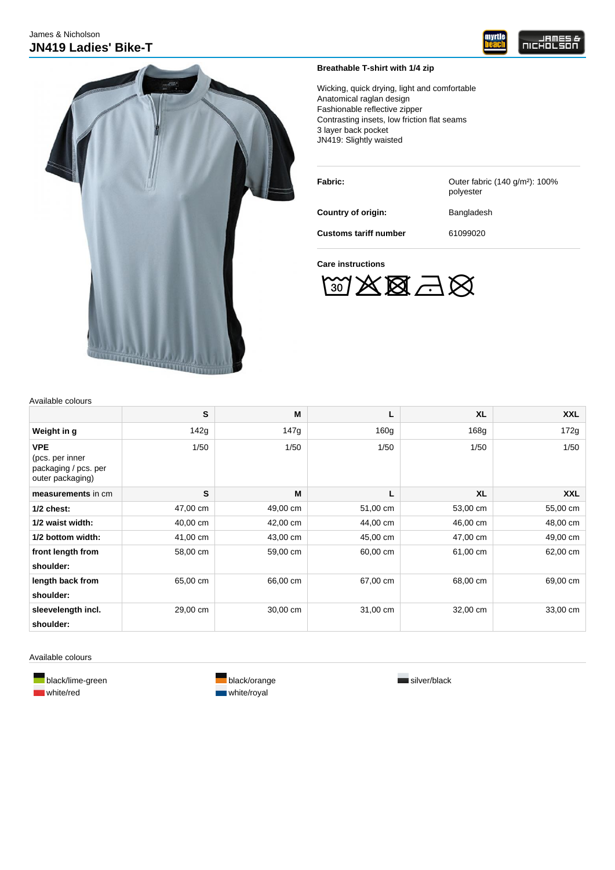



# **Breathable T-shirt with 1/4 zip**

Wicking, quick drying, light and comfortable Anatomical raglan design Fashionable reflective zipper Contrasting insets, low friction flat seams 3 layer back pocket JN419: Slightly waisted

| Fabric:                      | Outer fabric (140 g/m <sup>2</sup> ): 100%<br>polyester |
|------------------------------|---------------------------------------------------------|
| Country of origin:           | Bangladesh                                              |
| <b>Customs tariff number</b> | 61099020                                                |

### **Care instructions**

 $\mathbb{W}\mathbb{X} \boxtimes \mathbb{Z} \boxtimes$ 

| Available colours |  |
|-------------------|--|
|-------------------|--|

|                                                                           | S        | M        |                  | <b>XL</b>        | <b>XXL</b> |
|---------------------------------------------------------------------------|----------|----------|------------------|------------------|------------|
| Weight in g                                                               | 142g     | 147g     | 160 <sub>g</sub> | 168 <sub>g</sub> | 172g       |
| <b>VPE</b><br>(pcs. per inner<br>packaging / pcs. per<br>outer packaging) | 1/50     | 1/50     | 1/50             | 1/50             | 1/50       |
| measurements in cm                                                        | S        | M        | L                | <b>XL</b>        | <b>XXL</b> |
| $1/2$ chest:                                                              | 47,00 cm | 49,00 cm | 51,00 cm         | 53,00 cm         | 55,00 cm   |
| 1/2 waist width:                                                          | 40,00 cm | 42,00 cm | 44,00 cm         | 46,00 cm         | 48,00 cm   |
| 1/2 bottom width:                                                         | 41,00 cm | 43,00 cm | 45,00 cm         | 47,00 cm         | 49,00 cm   |
| front length from<br>shoulder:                                            | 58,00 cm | 59,00 cm | 60,00 cm         | 61,00 cm         | 62,00 cm   |
| length back from<br>shoulder:                                             | 65,00 cm | 66,00 cm | 67,00 cm         | 68,00 cm         | 69,00 cm   |
| sleevelength incl.<br>shoulder:                                           | 29,00 cm | 30,00 cm | 31,00 cm         | 32,00 cm         | 33,00 cm   |

Available colours

white/red white/royal